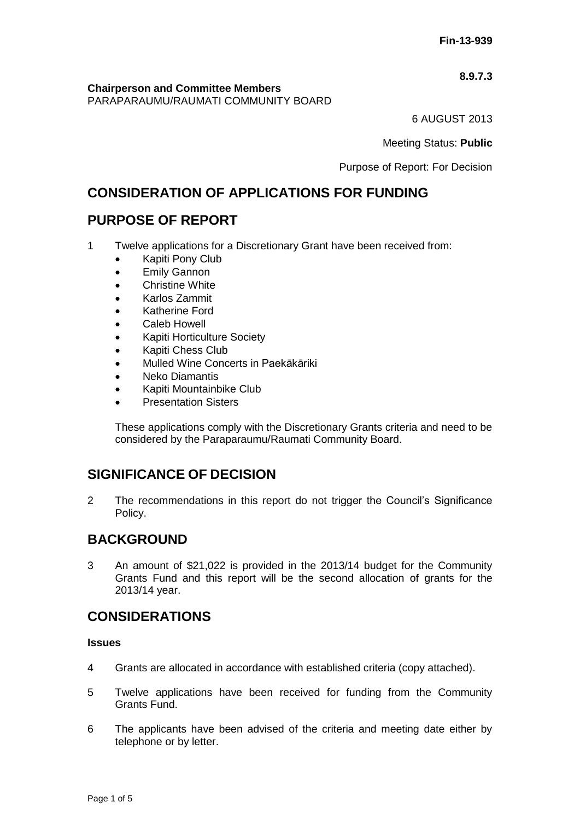## **8.9.7.3**

**Chairperson and Committee Members** PARAPARAUMU/RAUMATI COMMUNITY BOARD

6 AUGUST 2013

Meeting Status: **Public**

Purpose of Report: For Decision

# **CONSIDERATION OF APPLICATIONS FOR FUNDING**

# **PURPOSE OF REPORT**

- 1 Twelve applications for a Discretionary Grant have been received from:
	- Kapiti Pony Club
	- **•** Emily Gannon
	- Christine White
	- Karlos Zammit
	- Katherine Ford
	- Caleb Howell
	- Kapiti Horticulture Society
	- Kapiti Chess Club
	- Mulled Wine Concerts in Paekākāriki
	- Neko Diamantis
	- Kapiti Mountainbike Club
	- Presentation Sisters

These applications comply with the Discretionary Grants criteria and need to be considered by the Paraparaumu/Raumati Community Board.

# **SIGNIFICANCE OF DECISION**

2 The recommendations in this report do not trigger the Council's Significance Policy.

# **BACKGROUND**

3 An amount of \$21,022 is provided in the 2013/14 budget for the Community Grants Fund and this report will be the second allocation of grants for the 2013/14 year.

# **CONSIDERATIONS**

## **Issues**

- 4 Grants are allocated in accordance with established criteria (copy attached).
- 5 Twelve applications have been received for funding from the Community Grants Fund.
- 6 The applicants have been advised of the criteria and meeting date either by telephone or by letter.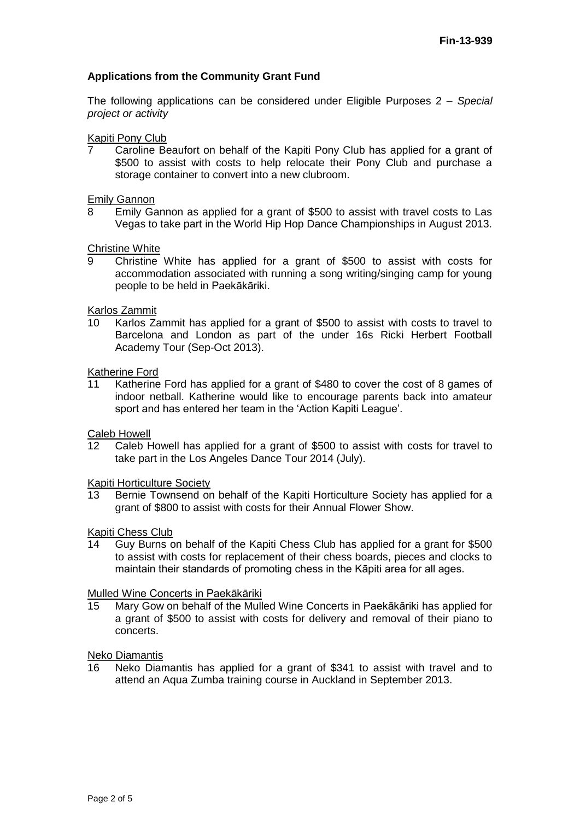## **Applications from the Community Grant Fund**

The following applications can be considered under Eligible Purposes 2 *– Special project or activity*

#### Kapiti Pony Club

7 Caroline Beaufort on behalf of the Kapiti Pony Club has applied for a grant of \$500 to assist with costs to help relocate their Pony Club and purchase a storage container to convert into a new clubroom.

**Emily Gannon**<br>8 **Emily Gannon** 

Emily Gannon as applied for a grant of \$500 to assist with travel costs to Las Vegas to take part in the World Hip Hop Dance Championships in August 2013.

Christine White

9 Christine White has applied for a grant of \$500 to assist with costs for accommodation associated with running a song writing/singing camp for young people to be held in Paekākāriki.

## Karlos Zammit

10 Karlos Zammit has applied for a grant of \$500 to assist with costs to travel to Barcelona and London as part of the under 16s Ricki Herbert Football Academy Tour (Sep-Oct 2013).

Katherine Ford<br>11 Katherine

Katherine Ford has applied for a grant of \$480 to cover the cost of 8 games of indoor netball. Katherine would like to encourage parents back into amateur sport and has entered her team in the 'Action Kapiti League'.

Caleb Howell

12 Caleb Howell has applied for a grant of \$500 to assist with costs for travel to take part in the Los Angeles Dance Tour 2014 (July).

Kapiti Horticulture Society

13 Bernie Townsend on behalf of the Kapiti Horticulture Society has applied for a grant of \$800 to assist with costs for their Annual Flower Show.

#### Kapiti Chess Club

14 Guy Burns on behalf of the Kapiti Chess Club has applied for a grant for \$500 to assist with costs for replacement of their chess boards, pieces and clocks to maintain their standards of promoting chess in the Kāpiti area for all ages.

#### Mulled Wine Concerts in Paekākāriki

15 Mary Gow on behalf of the Mulled Wine Concerts in Paekākāriki has applied for a grant of \$500 to assist with costs for delivery and removal of their piano to concerts.

Neko Diamantis

16 Neko Diamantis has applied for a grant of \$341 to assist with travel and to attend an Aqua Zumba training course in Auckland in September 2013.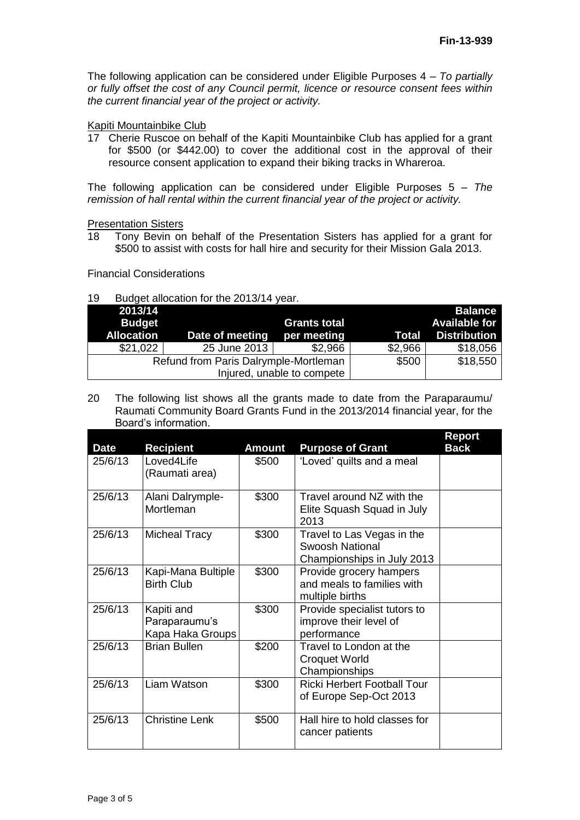The following application can be considered under Eligible Purposes 4 – *To partially or fully offset the cost of any Council permit, licence or resource consent fees within the current financial year of the project or activity.*

## Kapiti Mountainbike Club

17 Cherie Ruscoe on behalf of the Kapiti Mountainbike Club has applied for a grant for \$500 (or \$442.00) to cover the additional cost in the approval of their resource consent application to expand their biking tracks in Whareroa.

The following application can be considered under Eligible Purposes 5 *– The remission of hall rental within the current financial year of the project or activity.*

Presentation Sisters

18 Tony Bevin on behalf of the Presentation Sisters has applied for a grant for \$500 to assist with costs for hall hire and security for their Mission Gala 2013.

Financial Considerations

#### 19 Budget allocation for the 2013/14 year.

| 2013/14<br><b>Budget</b><br><b>Allocation</b> | Date of meeting                       | <b>Grants total</b><br>per meeting | Total    | <b>Balance</b><br>Available for<br><b>Distribution</b> |
|-----------------------------------------------|---------------------------------------|------------------------------------|----------|--------------------------------------------------------|
| \$21,022                                      | 25 June 2013                          | \$2,966                            | \$2,966  | \$18,056                                               |
|                                               | Refund from Paris Dalrymple-Mortleman | \$500                              | \$18,550 |                                                        |
|                                               | Injured, unable to compete            |                                    |          |                                                        |

20 The following list shows all the grants made to date from the Paraparaumu/ Raumati Community Board Grants Fund in the 2013/2014 financial year, for the Board's information.

| <b>Date</b> | <b>Recipient</b>                                | <b>Amount</b> | <b>Purpose of Grant</b>                                                            | <b>Report</b><br><b>Back</b> |
|-------------|-------------------------------------------------|---------------|------------------------------------------------------------------------------------|------------------------------|
| 25/6/13     | Loved4Life<br>(Raumati area)                    | \$500         | 'Loved' quilts and a meal                                                          |                              |
| 25/6/13     | Alani Dalrymple-<br>Mortleman                   | \$300         | Travel around NZ with the<br>Elite Squash Squad in July<br>2013                    |                              |
| 25/6/13     | <b>Micheal Tracy</b>                            | \$300         | Travel to Las Vegas in the<br><b>Swoosh National</b><br>Championships in July 2013 |                              |
| 25/6/13     | Kapi-Mana Bultiple<br><b>Birth Club</b>         | \$300         | Provide grocery hampers<br>and meals to families with<br>multiple births           |                              |
| 25/6/13     | Kapiti and<br>Paraparaumu's<br>Kapa Haka Groups | \$300         | Provide specialist tutors to<br>improve their level of<br>performance              |                              |
| 25/6/13     | <b>Brian Bullen</b>                             | \$200         | Travel to London at the<br><b>Croquet World</b><br>Championships                   |                              |
| 25/6/13     | Liam Watson                                     | \$300         | <b>Ricki Herbert Football Tour</b><br>of Europe Sep-Oct 2013                       |                              |
| 25/6/13     | <b>Christine Lenk</b>                           | \$500         | Hall hire to hold classes for<br>cancer patients                                   |                              |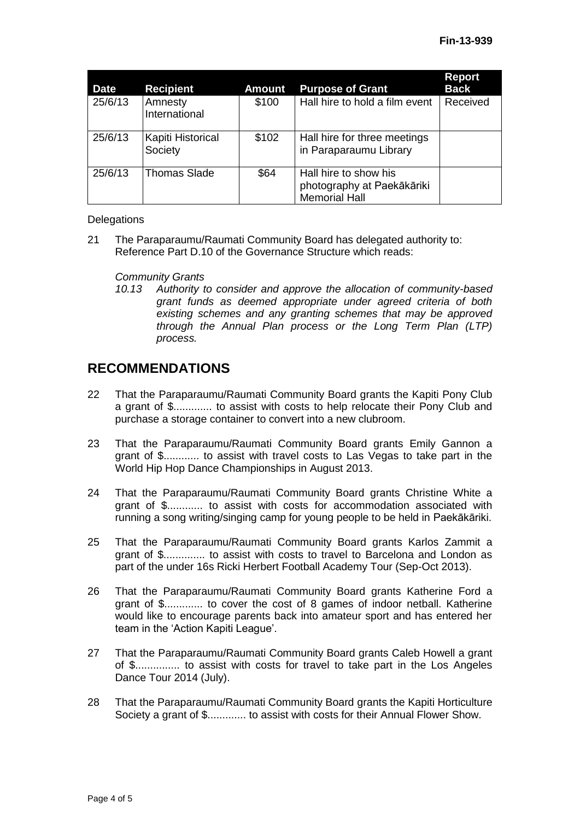| <b>Date</b> | <b>Recipient</b>             | <b>Amount</b> | <b>Purpose of Grant</b>                                                     | <b>Report</b><br><b>Back</b> |
|-------------|------------------------------|---------------|-----------------------------------------------------------------------------|------------------------------|
| 25/6/13     | Amnesty<br>International     | \$100         | Hall hire to hold a film event                                              | Received                     |
| 25/6/13     | Kapiti Historical<br>Society | \$102         | Hall hire for three meetings<br>in Paraparaumu Library                      |                              |
| 25/6/13     | <b>Thomas Slade</b>          | \$64          | Hall hire to show his<br>photography at Paekākāriki<br><b>Memorial Hall</b> |                              |

## **Delegations**

21 The Paraparaumu/Raumati Community Board has delegated authority to: Reference Part D.10 of the Governance Structure which reads:

## *Community Grants*

*10.13 Authority to consider and approve the allocation of community-based grant funds as deemed appropriate under agreed criteria of both existing schemes and any granting schemes that may be approved through the Annual Plan process or the Long Term Plan (LTP) process.*

# **RECOMMENDATIONS**

- 22 That the Paraparaumu/Raumati Community Board grants the Kapiti Pony Club a grant of \$............. to assist with costs to help relocate their Pony Club and purchase a storage container to convert into a new clubroom.
- 23 That the Paraparaumu/Raumati Community Board grants Emily Gannon a grant of \$............ to assist with travel costs to Las Vegas to take part in the World Hip Hop Dance Championships in August 2013.
- 24 That the Paraparaumu/Raumati Community Board grants Christine White a grant of \$............ to assist with costs for accommodation associated with running a song writing/singing camp for young people to be held in Paekākāriki.
- 25 That the Paraparaumu/Raumati Community Board grants Karlos Zammit a grant of \$.............. to assist with costs to travel to Barcelona and London as part of the under 16s Ricki Herbert Football Academy Tour (Sep-Oct 2013).
- 26 That the Paraparaumu/Raumati Community Board grants Katherine Ford a grant of \$............. to cover the cost of 8 games of indoor netball. Katherine would like to encourage parents back into amateur sport and has entered her team in the 'Action Kapiti League'.
- 27 That the Paraparaumu/Raumati Community Board grants Caleb Howell a grant of \$............... to assist with costs for travel to take part in the Los Angeles Dance Tour 2014 (July).
- 28 That the Paraparaumu/Raumati Community Board grants the Kapiti Horticulture Society a grant of \$............. to assist with costs for their Annual Flower Show.